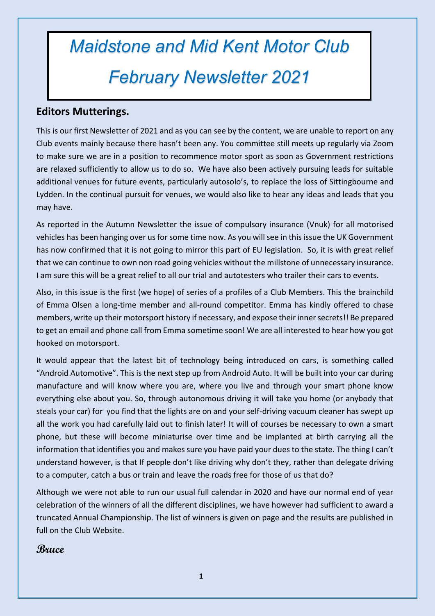# *Maidstone and Mid Kent Motor Club February Newsletter 2021*

#### **Editors Mutterings.**

This is our first Newsletter of 2021 and as you can see by the content, we are unable to report on any Club events mainly because there hasn't been any. You committee still meets up regularly via Zoom to make sure we are in a position to recommence motor sport as soon as Government restrictions are relaxed sufficiently to allow us to do so. We have also been actively pursuing leads for suitable additional venues for future events, particularly autosolo's, to replace the loss of Sittingbourne and Lydden. In the continual pursuit for venues, we would also like to hear any ideas and leads that you may have.

As reported in the Autumn Newsletter the issue of compulsory insurance (Vnuk) for all motorised vehicles has been hanging over us for some time now. As you will see in this issue the UK Government has now confirmed that it is not going to mirror this part of EU legislation. So, it is with great relief that we can continue to own non road going vehicles without the millstone of unnecessary insurance. I am sure this will be a great relief to all our trial and autotesters who trailer their cars to events.

Also, in this issue is the first (we hope) of series of a profiles of a Club Members. This the brainchild of Emma Olsen a long-time member and all-round competitor. Emma has kindly offered to chase members, write up their motorsport history if necessary, and expose their inner secrets!! Be prepared to get an email and phone call from Emma sometime soon! We are all interested to hear how you got hooked on motorsport.

It would appear that the latest bit of technology being introduced on cars, is something called "Android Automotive". This is the next step up from Android Auto. It will be built into your car during manufacture and will know where you are, where you live and through your smart phone know everything else about you. So, through autonomous driving it will take you home (or anybody that steals your car) for you find that the lights are on and your self-driving vacuum cleaner has swept up all the work you had carefully laid out to finish later! It will of courses be necessary to own a smart phone, but these will become miniaturise over time and be implanted at birth carrying all the information that identifies you and makes sure you have paid your dues to the state. The thing I can't understand however, is that If people don't like driving why don't they, rather than delegate driving to a computer, catch a bus or train and leave the roads free for those of us that do?

Although we were not able to run our usual full calendar in 2020 and have our normal end of year celebration of the winners of all the different disciplines, we have however had sufficient to award a truncated Annual Championship. The list of winners is given on page and the results are published in full on the Club Website.

#### **Bruce**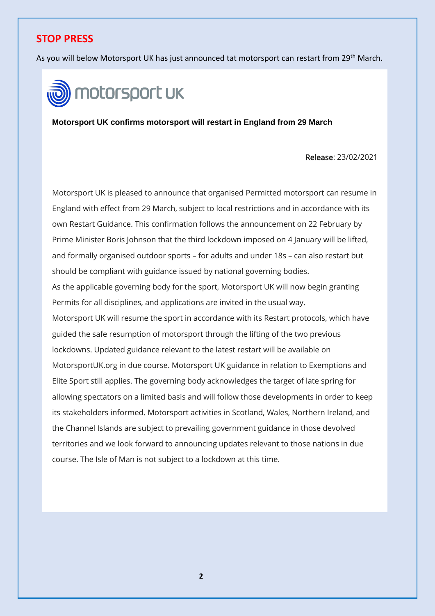### **STOP PRESS**

As you will below Motorsport UK has just announced tat motorsport can restart from 29<sup>th</sup> March.



**Motorsport UK confirms motorsport will restart in England from 29 March**

Release: 23/02/2021

Motorsport UK is pleased to announce that organised Permitted motorsport can resume in England with effect from 29 March, subject to local restrictions and in accordance with its own Restart Guidance. This confirmation follows the announcement on 22 February by Prime Minister Boris Johnson that the third lockdown imposed on 4 January will be lifted, and formally organised outdoor sports – for adults and under 18s – can also restart but should be compliant with guidance issued by national governing bodies. As the applicable governing body for the sport, Motorsport UK will now begin granting Permits for all disciplines, and applications are invited in the usual way. Motorsport UK will resume the sport in accordance with its Restart protocols, which have guided the safe resumption of motorsport through the lifting of the two previous lockdowns. Updated guidance relevant to the latest restart will be available on MotorsportUK.org in due course. Motorsport UK guidance in relation to Exemptions and Elite Sport still applies. The governing body acknowledges the target of late spring for allowing spectators on a limited basis and will follow those developments in order to keep its stakeholders informed. Motorsport activities in Scotland, Wales, Northern Ireland, and the Channel Islands are subject to prevailing government guidance in those devolved territories and we look forward to announcing updates relevant to those nations in due course. The Isle of Man is not subject to a lockdown at this time.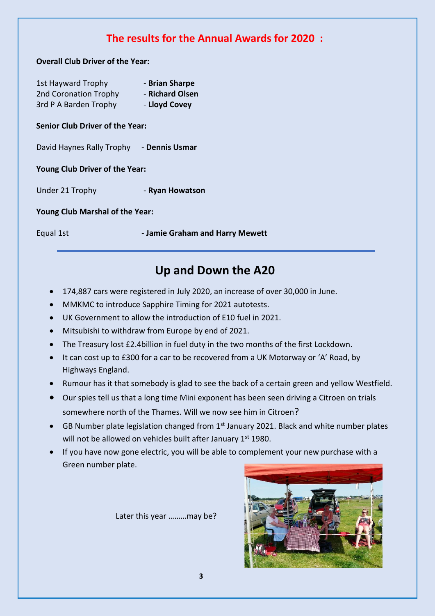# **The results for the Annual Awards for 2020 :**

**Overall Club Driver of the Year:**

| <b>1st Hayward Trophy</b> | - Brian Sharpe  |
|---------------------------|-----------------|
| 2nd Coronation Trophy     | - Richard Olsen |
| 3rd P A Barden Trophy     | - Lloyd Covey   |

#### **Senior Club Driver of the Year:**

David Haynes Rally Trophy - **Dennis Usmar**

**Young Club Driver of the Year:**

Under 21 Trophy - **Ryan Howatson**

**Young Club Marshal of the Year:**

Equal 1st - **Jamie Graham and Harry Mewett**

# **Up and Down the A20**

- 174,887 cars were registered in July 2020, an increase of over 30,000 in June.
- MMKMC to introduce Sapphire Timing for 2021 autotests.
- UK Government to allow the introduction of E10 fuel in 2021.
- Mitsubishi to withdraw from Europe by end of 2021.
- The Treasury lost £2.4billion in fuel duty in the two months of the first Lockdown.
- It can cost up to £300 for a car to be recovered from a UK Motorway or 'A' Road, by Highways England.
- Rumour has it that somebody is glad to see the back of a certain green and yellow Westfield.
- Our spies tell us that a long time Mini exponent has been seen driving a Citroen on trials somewhere north of the Thames. Will we now see him in Citroen?
- GB Number plate legislation changed from  $1<sup>st</sup>$  January 2021. Black and white number plates will not be allowed on vehicles built after January  $1<sup>st</sup>$  1980.
- If you have now gone electric, you will be able to complement your new purchase with a Green number plate.

Later this year ………may be?

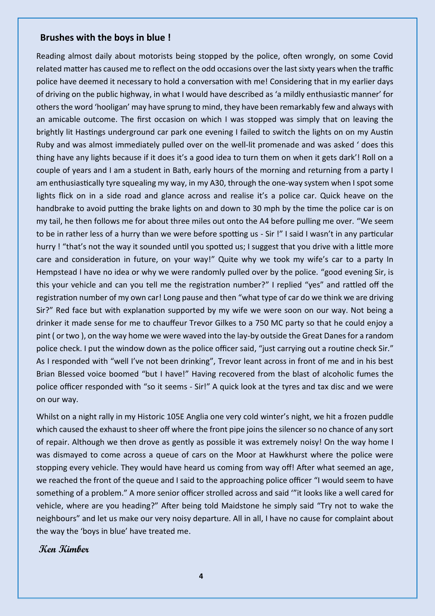#### **Brushes with the boys in blue !**

Reading almost daily about motorists being stopped by the police, often wrongly, on some Covid related matter has caused me to reflect on the odd occasions over the last sixty years when the traffic police have deemed it necessary to hold a conversation with me! Considering that in my earlier days of driving on the public highway, in what I would have described as 'a mildly enthusiastic manner' for others the word 'hooligan' may have sprung to mind, they have been remarkably few and always with an amicable outcome. The first occasion on which I was stopped was simply that on leaving the brightly lit Hastings underground car park one evening I failed to switch the lights on on my Austin Ruby and was almost immediately pulled over on the well-lit promenade and was asked ' does this thing have any lights because if it does it's a good idea to turn them on when it gets dark'! Roll on a couple of years and I am a student in Bath, early hours of the morning and returning from a party I am enthusiastically tyre squealing my way, in my A30, through the one-way system when I spot some lights flick on in a side road and glance across and realise it's a police car. Quick heave on the handbrake to avoid putting the brake lights on and down to 30 mph by the time the police car is on my tail, he then follows me for about three miles out onto the A4 before pulling me over. "We seem to be in rather less of a hurry than we were before spotting us - Sir !" I said I wasn't in any particular hurry ! "that's not the way it sounded until you spotted us; I suggest that you drive with a little more care and consideration in future, on your way!" Quite why we took my wife's car to a party In Hempstead I have no idea or why we were randomly pulled over by the police. "good evening Sir, is this your vehicle and can you tell me the registration number?" I replied "yes" and rattled off the registration number of my own car! Long pause and then "what type of car do we think we are driving Sir?" Red face but with explanation supported by my wife we were soon on our way. Not being a drinker it made sense for me to chauffeur Trevor Gilkes to a 750 MC party so that he could enjoy a pint ( or two ), on the way home we were waved into the lay-by outside the Great Danes for a random police check. I put the window down as the police officer said, "just carrying out a routine check Sir." As I responded with "well I've not been drinking", Trevor leant across in front of me and in his best Brian Blessed voice boomed "but I have!" Having recovered from the blast of alcoholic fumes the police officer responded with "so it seems - Sir!" A quick look at the tyres and tax disc and we were on our way.

Whilst on a night rally in my Historic 105E Anglia one very cold winter's night, we hit a frozen puddle which caused the exhaust to sheer off where the front pipe joins the silencer so no chance of any sort of repair. Although we then drove as gently as possible it was extremely noisy! On the way home I was dismayed to come across a queue of cars on the Moor at Hawkhurst where the police were stopping every vehicle. They would have heard us coming from way off! After what seemed an age, we reached the front of the queue and I said to the approaching police officer "I would seem to have something of a problem." A more senior officer strolled across and said '"it looks like a well cared for vehicle, where are you heading?" After being told Maidstone he simply said "Try not to wake the neighbours" and let us make our very noisy departure. All in all, I have no cause for complaint about the way the 'boys in blue' have treated me.

#### **Ken Kimber**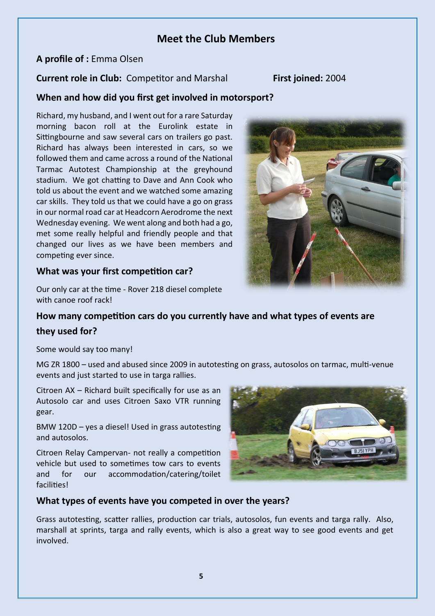#### **Meet the Club Members**

#### **A profile of :** Emma Olsen

#### **Current role in Club:** Competitor and Marshal **First joined:** 2004

#### **When and how did you first get involved in motorsport?**

Richard, my husband, and I went out for a rare Saturday morning bacon roll at the Eurolink estate in Sittingbourne and saw several cars on trailers go past. Richard has always been interested in cars, so we followed them and came across a round of the National Tarmac Autotest Championship at the greyhound stadium. We got chatting to Dave and Ann Cook who told us about the event and we watched some amazing car skills. They told us that we could have a go on grass in our normal road car at Headcorn Aerodrome the next Wednesday evening. We went along and both had a go, met some really helpful and friendly people and that changed our lives as we have been members and competing ever since.



#### **What was your first competition car?**

Our only car at the time - Rover 218 diesel complete with canoe roof rack!

#### **How many competition cars do you currently have and what types of events are**

#### **they used for?**

Some would say too many!

MG ZR 1800 – used and abused since 2009 in autotesting on grass, autosolos on tarmac, multi-venue events and just started to use in targa rallies.

Citroen AX – Richard built specifically for use as an Autosolo car and uses Citroen Saxo VTR running gear.

BMW 120D – yes a diesel! Used in grass autotesting and autosolos.

Citroen Relay Campervan- not really a competition vehicle but used to sometimes tow cars to events and for our accommodation/catering/toilet facilities!



#### **What types of events have you competed in over the years?**

Grass autotesting, scatter rallies, production car trials, autosolos, fun events and targa rally. Also, marshall at sprints, targa and rally events, which is also a great way to see good events and get involved.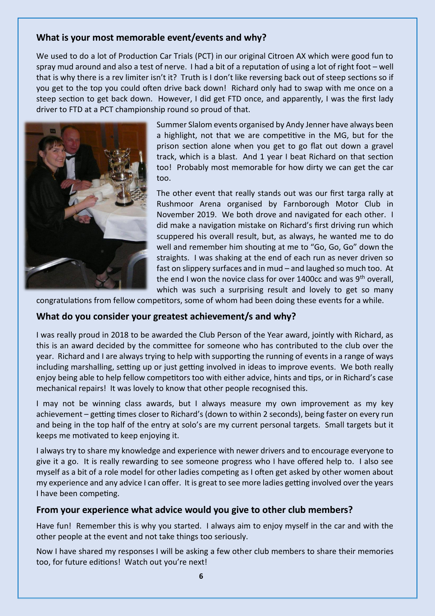#### **What is your most memorable event/events and why?**

We used to do a lot of Production Car Trials (PCT) in our original Citroen AX which were good fun to spray mud around and also a test of nerve. I had a bit of a reputation of using a lot of right foot – well that is why there is a rev limiter isn't it? Truth is I don't like reversing back out of steep sections so if you get to the top you could often drive back down! Richard only had to swap with me once on a steep section to get back down. However, I did get FTD once, and apparently, I was the first lady driver to FTD at a PCT championship round so proud of that.



Summer Slalom events organised by Andy Jenner have always been a highlight, not that we are competitive in the MG, but for the prison section alone when you get to go flat out down a gravel track, which is a blast. And 1 year I beat Richard on that section too! Probably most memorable for how dirty we can get the car too.

The other event that really stands out was our first targa rally at Rushmoor Arena organised by Farnborough Motor Club in November 2019. We both drove and navigated for each other. I did make a navigation mistake on Richard's first driving run which scuppered his overall result, but, as always, he wanted me to do well and remember him shouting at me to "Go, Go, Go" down the straights. I was shaking at the end of each run as never driven so fast on slippery surfaces and in mud – and laughed so much too. At the end I won the novice class for over 1400cc and was 9<sup>th</sup> overall, which was such a surprising result and lovely to get so many

congratulations from fellow competitors, some of whom had been doing these events for a while.

#### **What do you consider your greatest achievement/s and why?**

I was really proud in 2018 to be awarded the Club Person of the Year award, jointly with Richard, as this is an award decided by the committee for someone who has contributed to the club over the year. Richard and I are always trying to help with supporting the running of events in a range of ways including marshalling, setting up or just getting involved in ideas to improve events. We both really enjoy being able to help fellow competitors too with either advice, hints and tips, or in Richard's case mechanical repairs! It was lovely to know that other people recognised this.

I may not be winning class awards, but I always measure my own improvement as my key achievement – getting times closer to Richard's (down to within 2 seconds), being faster on every run and being in the top half of the entry at solo's are my current personal targets. Small targets but it keeps me motivated to keep enjoying it.

I always try to share my knowledge and experience with newer drivers and to encourage everyone to give it a go. It is really rewarding to see someone progress who I have offered help to. I also see myself as a bit of a role model for other ladies competing as I often get asked by other women about my experience and any advice I can offer. It is great to see more ladies getting involved over the years I have been competing.

#### **From your experience what advice would you give to other club members?**

Have fun! Remember this is why you started. I always aim to enjoy myself in the car and with the other people at the event and not take things too seriously.

Now I have shared my responses I will be asking a few other club members to share their memories too, for future editions! Watch out you're next!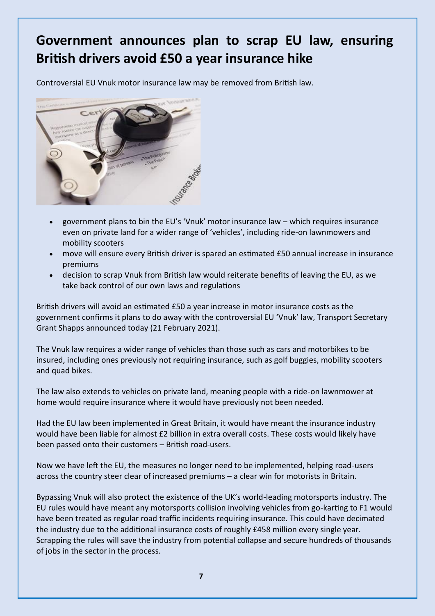# **Government announces plan to scrap EU law, ensuring British drivers avoid £50 a year insurance hike**

Controversial EU Vnuk motor insurance law may be removed from British law.



- government plans to bin the EU's 'Vnuk' motor insurance law which requires insurance even on private land for a wider range of 'vehicles', including ride-on lawnmowers and mobility scooters
- move will ensure every British driver is spared an estimated £50 annual increase in insurance premiums
- decision to scrap Vnuk from British law would reiterate benefits of leaving the EU, as we take back control of our own laws and regulations

British drivers will avoid an estimated £50 a year increase in motor insurance costs as the government confirms it plans to do away with the controversial EU 'Vnuk' law, Transport Secretary Grant Shapps announced today (21 February 2021).

The Vnuk law requires a wider range of vehicles than those such as cars and motorbikes to be insured, including ones previously not requiring insurance, such as golf buggies, mobility scooters and quad bikes.

The law also extends to vehicles on private land, meaning people with a ride-on lawnmower at home would require insurance where it would have previously not been needed.

Had the EU law been implemented in Great Britain, it would have meant the insurance industry would have been liable for almost £2 billion in extra overall costs. These costs would likely have been passed onto their customers – British road-users.

Now we have left the EU, the measures no longer need to be implemented, helping road-users across the country steer clear of increased premiums – a clear win for motorists in Britain.

Bypassing Vnuk will also protect the existence of the UK's world-leading motorsports industry. The EU rules would have meant any motorsports collision involving vehicles from go-karting to F1 would have been treated as regular road traffic incidents requiring insurance. This could have decimated the industry due to the additional insurance costs of roughly £458 million every single year. Scrapping the rules will save the industry from potential collapse and secure hundreds of thousands of jobs in the sector in the process.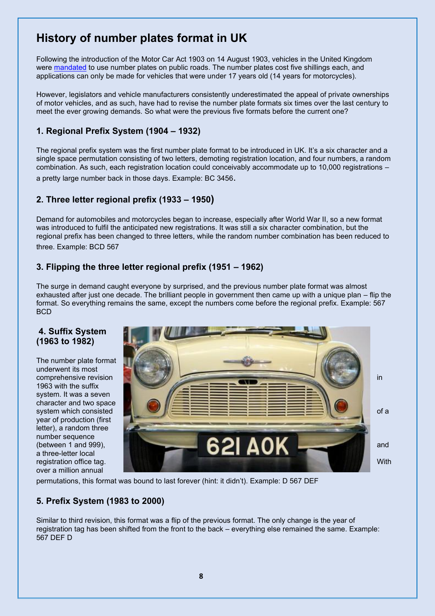# **History of number plates format in UK**

Following the introduction of the Motor Car Act 1903 on 14 August 1903, vehicles in the United Kingdom were [mandated](https://books.google.com.my/books?id=MT59ZrQdDEYC&lpg=PT141&ots=rMSCERzr9f&dq=%22A%20person%20shall%20not%20drive%20a%20motor%20car%20on%20a%20public%20highway%20unless%20he%20is%20licensed%20%22&pg=PT141#v=onepage&q=%22A%20person%20shall%20not%20drive%20a%20motor%20car%20on%20a%20public%20highway%20unless%20he%20is%20licensed%20%22&f=false) to use number plates on public roads. The number plates cost five shillings each, and applications can only be made for vehicles that were under 17 years old (14 years for motorcycles).

However, legislators and vehicle manufacturers consistently underestimated the appeal of private ownerships of motor vehicles, and as such, have had to revise the number plate formats six times over the last century to meet the ever growing demands. So what were the previous five formats before the current one?

#### **1. Regional Prefix System (1904 – 1932)**

The regional prefix system was the first number plate format to be introduced in UK. It's a six character and a single space permutation consisting of two letters, demoting registration location, and four numbers, a random combination. As such, each registration location could conceivably accommodate up to 10,000 registrations – a pretty large number back in those days. Example: BC 3456.

#### **2. Three letter regional prefix (1933 – 1950)**

Demand for automobiles and motorcycles began to increase, especially after World War II, so a new format was introduced to fulfil the anticipated new registrations. It was still a six character combination, but the regional prefix has been changed to three letters, while the random number combination has been reduced to three. Example: BCD 567

#### **3. Flipping the three letter regional prefix (1951 – 1962)**

The surge in demand caught everyone by surprised, and the previous number plate format was almost exhausted after just one decade. The brilliant people in government then came up with a unique plan – flip the format. So everything remains the same, except the numbers come before the regional prefix. Example: 567 **BCD** 

#### **4. Suffix System (1963 to 1982)**

The number plate format underwent its most 1963 with the suffix system. It was a seven character and two space year of production (first letter), a random three number sequence<br>(between 1 and 999), a three-letter local over a million annual



permutations, this format was bound to last forever (hint: it didn't). Example: D 567 DEF

#### **5. Prefix System (1983 to 2000)**

Similar to third revision, this format was a flip of the previous format. The only change is the year of registration tag has been shifted from the front to the back – everything else remained the same. Example: 567 DEF D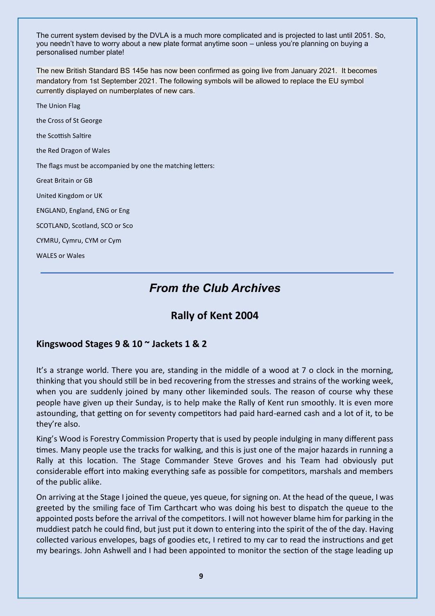The current system devised by the DVLA is a much more complicated and is projected to last until 2051. So, you needn't have to worry about a new plate format anytime soon – unless you're planning on buying a personalised number plate!

The new British Standard BS 145e has now been confirmed as going live from January 2021. It becomes mandatory from 1st September 2021. The following symbols will be allowed to replace the EU symbol currently displayed on numberplates of new cars.

The Union Flag the Cross of St George the Scottish Saltire the Red Dragon of Wales The flags must be accompanied by one the matching letters: Great Britain or GB United Kingdom or UK ENGLAND, England, ENG or Eng SCOTLAND, Scotland, SCO or Sco CYMRU, Cymru, CYM or Cym WALES or Wales

# *From the Club Archives*

# **Rally of Kent 2004**

#### **Kingswood Stages 9 & 10 ~ Jackets 1 & 2**

It's a strange world. There you are, standing in the middle of a wood at 7 o clock in the morning, thinking that you should still be in bed recovering from the stresses and strains of the working week, when you are suddenly joined by many other likeminded souls. The reason of course why these people have given up their Sunday, is to help make the Rally of Kent run smoothly. It is even more astounding, that getting on for seventy competitors had paid hard-earned cash and a lot of it, to be they're also.

King's Wood is Forestry Commission Property that is used by people indulging in many different pass times. Many people use the tracks for walking, and this is just one of the major hazards in running a Rally at this location. The Stage Commander Steve Groves and his Team had obviously put considerable effort into making everything safe as possible for competitors, marshals and members of the public alike.

On arriving at the Stage I joined the queue, yes queue, for signing on. At the head of the queue, I was greeted by the smiling face of Tim Carthcart who was doing his best to dispatch the queue to the appointed posts before the arrival of the competitors. I will not however blame him for parking in the muddiest patch he could find, but just put it down to entering into the spirit of the of the day. Having collected various envelopes, bags of goodies etc, I retired to my car to read the instructions and get my bearings. John Ashwell and I had been appointed to monitor the section of the stage leading up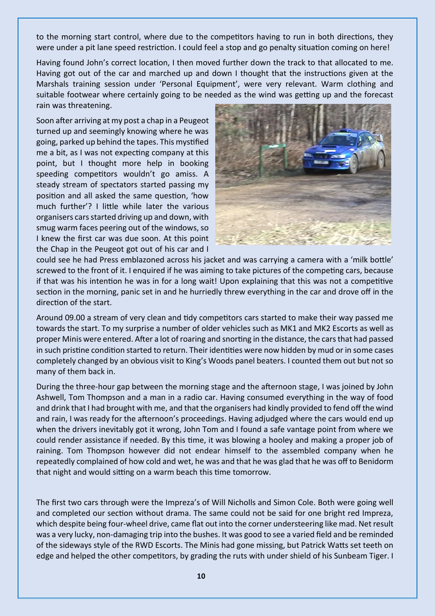to the morning start control, where due to the competitors having to run in both directions, they were under a pit lane speed restriction. I could feel a stop and go penalty situation coming on here!

Having found John's correct location, I then moved further down the track to that allocated to me. Having got out of the car and marched up and down I thought that the instructions given at the Marshals training session under 'Personal Equipment', were very relevant. Warm clothing and suitable footwear where certainly going to be needed as the wind was getting up and the forecast rain was threatening.

Soon after arriving at my post a chap in a Peugeot turned up and seemingly knowing where he was going, parked up behind the tapes. This mystified me a bit, as I was not expecting company at this point, but I thought more help in booking speeding competitors wouldn't go amiss. A steady stream of spectators started passing my position and all asked the same question, 'how much further'? I little while later the various organisers cars started driving up and down, with smug warm faces peering out of the windows, so I knew the first car was due soon. At this point the Chap in the Peugeot got out of his car and I



could see he had Press emblazoned across his jacket and was carrying a camera with a 'milk bottle' screwed to the front of it. I enquired if he was aiming to take pictures of the competing cars, because if that was his intention he was in for a long wait! Upon explaining that this was not a competitive section in the morning, panic set in and he hurriedly threw everything in the car and drove off in the direction of the start.

Around 09.00 a stream of very clean and tidy competitors cars started to make their way passed me towards the start. To my surprise a number of older vehicles such as MK1 and MK2 Escorts as well as proper Minis were entered. After a lot of roaring and snorting in the distance, the cars that had passed in such pristine condition started to return. Their identities were now hidden by mud or in some cases completely changed by an obvious visit to King's Woods panel beaters. I counted them out but not so many of them back in.

During the three-hour gap between the morning stage and the afternoon stage, I was joined by John Ashwell, Tom Thompson and a man in a radio car. Having consumed everything in the way of food and drink that I had brought with me, and that the organisers had kindly provided to fend off the wind and rain, I was ready for the afternoon's proceedings. Having adjudged where the cars would end up when the drivers inevitably got it wrong, John Tom and I found a safe vantage point from where we could render assistance if needed. By this time, it was blowing a hooley and making a proper job of raining. Tom Thompson however did not endear himself to the assembled company when he repeatedly complained of how cold and wet, he was and that he was glad that he was off to Benidorm that night and would sitting on a warm beach this time tomorrow.

The first two cars through were the Impreza's of Will Nicholls and Simon Cole. Both were going well and completed our section without drama. The same could not be said for one bright red Impreza, which despite being four-wheel drive, came flat out into the corner understeering like mad. Net result was a very lucky, non-damaging trip into the bushes. It was good to see a varied field and be reminded of the sideways style of the RWD Escorts. The Minis had gone missing, but Patrick Watts set teeth on edge and helped the other competitors, by grading the ruts with under shield of his Sunbeam Tiger. I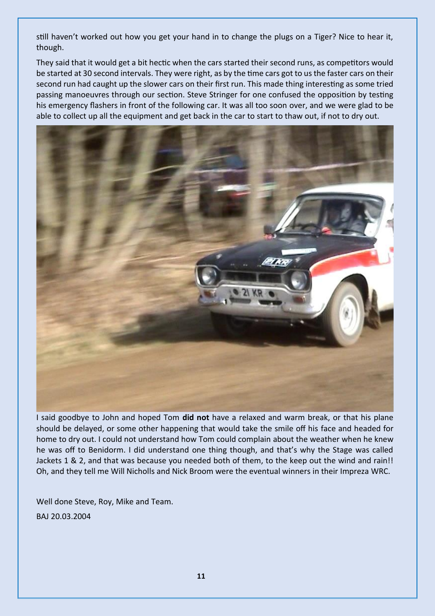still haven't worked out how you get your hand in to change the plugs on a Tiger? Nice to hear it, though.

They said that it would get a bit hectic when the cars started their second runs, as competitors would be started at 30 second intervals. They were right, as by the time cars got to us the faster cars on their second run had caught up the slower cars on their first run. This made thing interesting as some tried passing manoeuvres through our section. Steve Stringer for one confused the opposition by testing his emergency flashers in front of the following car. It was all too soon over, and we were glad to be able to collect up all the equipment and get back in the car to start to thaw out, if not to dry out.



I said goodbye to John and hoped Tom **did not** have a relaxed and warm break, or that his plane should be delayed, or some other happening that would take the smile off his face and headed for home to dry out. I could not understand how Tom could complain about the weather when he knew he was off to Benidorm. I did understand one thing though, and that's why the Stage was called Jackets 1 & 2, and that was because you needed both of them, to the keep out the wind and rain!! Oh, and they tell me Will Nicholls and Nick Broom were the eventual winners in their Impreza WRC.

Well done Steve, Roy, Mike and Team.

BAJ 20.03.2004